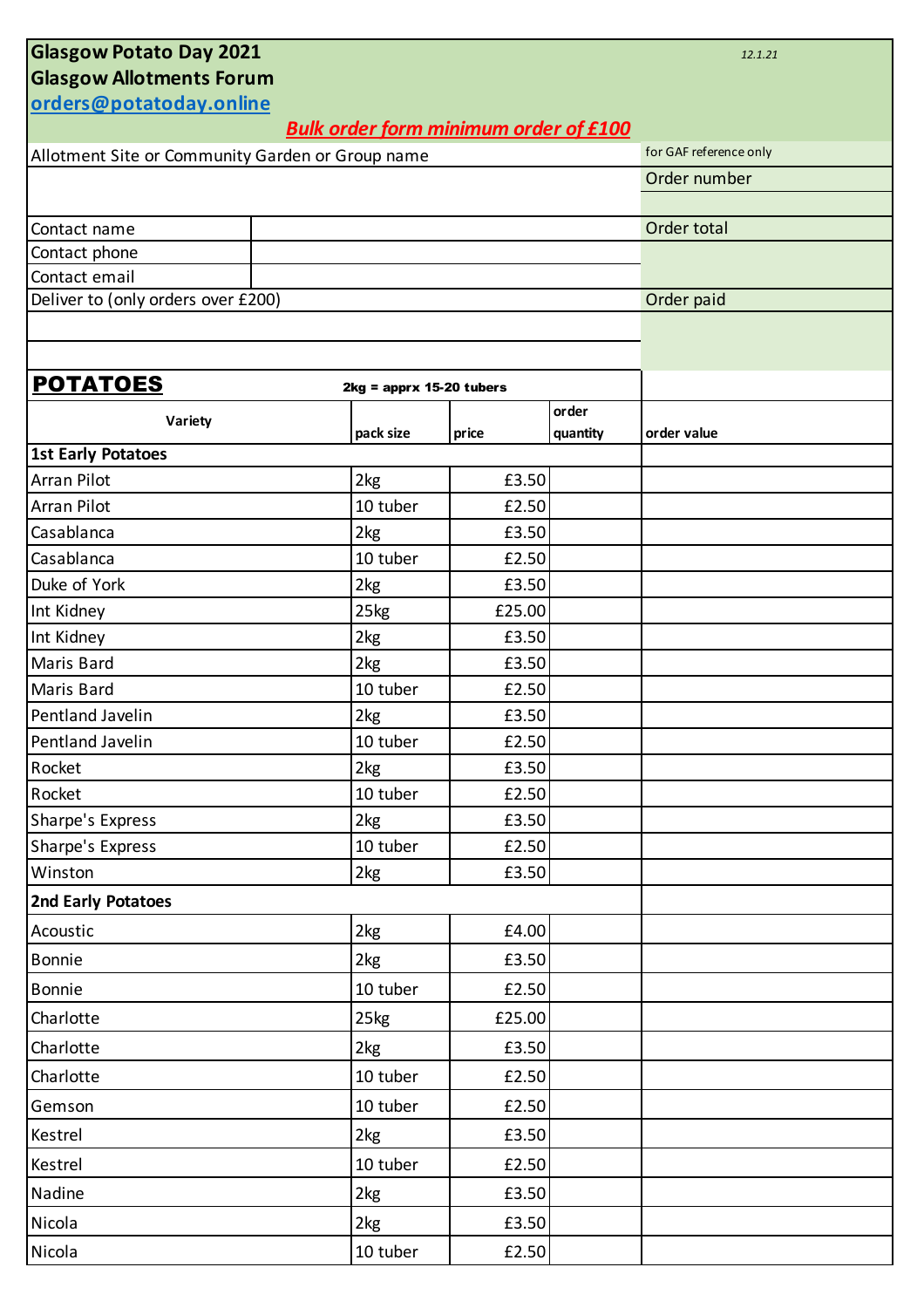| <b>Glasgow Potato Day 2021</b><br>12.1.21           |                                              |          |                           |          |             |  |  |  |
|-----------------------------------------------------|----------------------------------------------|----------|---------------------------|----------|-------------|--|--|--|
| <b>Glasgow Allotments Forum</b>                     |                                              |          |                           |          |             |  |  |  |
| orders@potatoday.online                             |                                              |          |                           |          |             |  |  |  |
|                                                     | <b>Bulk order form minimum order of £100</b> |          |                           |          |             |  |  |  |
| Allotment Site or Community Garden or Group name    | for GAF reference only                       |          |                           |          |             |  |  |  |
|                                                     | Order number                                 |          |                           |          |             |  |  |  |
|                                                     |                                              |          |                           |          |             |  |  |  |
| Contact name                                        |                                              |          |                           |          | Order total |  |  |  |
| Contact phone                                       |                                              |          |                           |          |             |  |  |  |
| Contact email<br>Deliver to (only orders over £200) | Order paid                                   |          |                           |          |             |  |  |  |
|                                                     |                                              |          |                           |          |             |  |  |  |
|                                                     |                                              |          |                           |          |             |  |  |  |
|                                                     |                                              |          |                           |          |             |  |  |  |
| <b>POTATOES</b>                                     |                                              |          | $2kg = apprx 15-20 tubes$ | order    |             |  |  |  |
| Variety                                             | pack size                                    |          | price                     | quantity | order value |  |  |  |
| <b>1st Early Potatoes</b>                           |                                              |          |                           |          |             |  |  |  |
| <b>Arran Pilot</b>                                  | 2kg                                          |          | £3.50                     |          |             |  |  |  |
| <b>Arran Pilot</b>                                  | 10 tuber                                     |          | £2.50                     |          |             |  |  |  |
| Casablanca                                          | 2kg                                          |          | £3.50                     |          |             |  |  |  |
| Casablanca                                          | 10 tuber                                     |          | £2.50                     |          |             |  |  |  |
| Duke of York                                        | 2kg                                          |          | £3.50                     |          |             |  |  |  |
| Int Kidney                                          | 25kg                                         |          | £25.00                    |          |             |  |  |  |
| Int Kidney                                          | 2kg                                          |          | £3.50                     |          |             |  |  |  |
| <b>Maris Bard</b>                                   | 2kg                                          |          | £3.50                     |          |             |  |  |  |
| <b>Maris Bard</b>                                   |                                              | 10 tuber | £2.50                     |          |             |  |  |  |
| Pentland Javelin                                    | 2kg                                          |          | £3.50                     |          |             |  |  |  |
| Pentland Javelin                                    |                                              | 10 tuber | £2.50                     |          |             |  |  |  |
| Rocket                                              |                                              |          | £3.50                     |          |             |  |  |  |
| Rocket                                              | 10 tuber                                     |          | £2.50                     |          |             |  |  |  |
| Sharpe's Express                                    | 2kg                                          |          | £3.50                     |          |             |  |  |  |
| Sharpe's Express                                    |                                              | 10 tuber | £2.50                     |          |             |  |  |  |
| Winston                                             | 2kg                                          |          | £3.50                     |          |             |  |  |  |
| <b>2nd Early Potatoes</b>                           |                                              |          |                           |          |             |  |  |  |
| Acoustic                                            | 2kg                                          |          | £4.00                     |          |             |  |  |  |
| <b>Bonnie</b>                                       | 2kg                                          |          | £3.50                     |          |             |  |  |  |
| <b>Bonnie</b>                                       | 10 tuber                                     |          | £2.50                     |          |             |  |  |  |
| Charlotte                                           | 25kg                                         |          | £25.00                    |          |             |  |  |  |
| Charlotte                                           |                                              |          | £3.50                     |          |             |  |  |  |
| Charlotte                                           | 2kg<br>10 tuber                              |          | £2.50                     |          |             |  |  |  |
| Gemson                                              | 10 tuber                                     |          | £2.50                     |          |             |  |  |  |
| Kestrel                                             | 2kg                                          |          | £3.50                     |          |             |  |  |  |
| Kestrel                                             | 10 tuber                                     |          | £2.50                     |          |             |  |  |  |
|                                                     |                                              |          |                           |          |             |  |  |  |
| Nadine                                              | 2kg                                          |          | £3.50                     |          |             |  |  |  |
| Nicola                                              | 2kg                                          |          | £3.50                     |          |             |  |  |  |
| Nicola                                              | 10 tuber                                     |          | £2.50                     |          |             |  |  |  |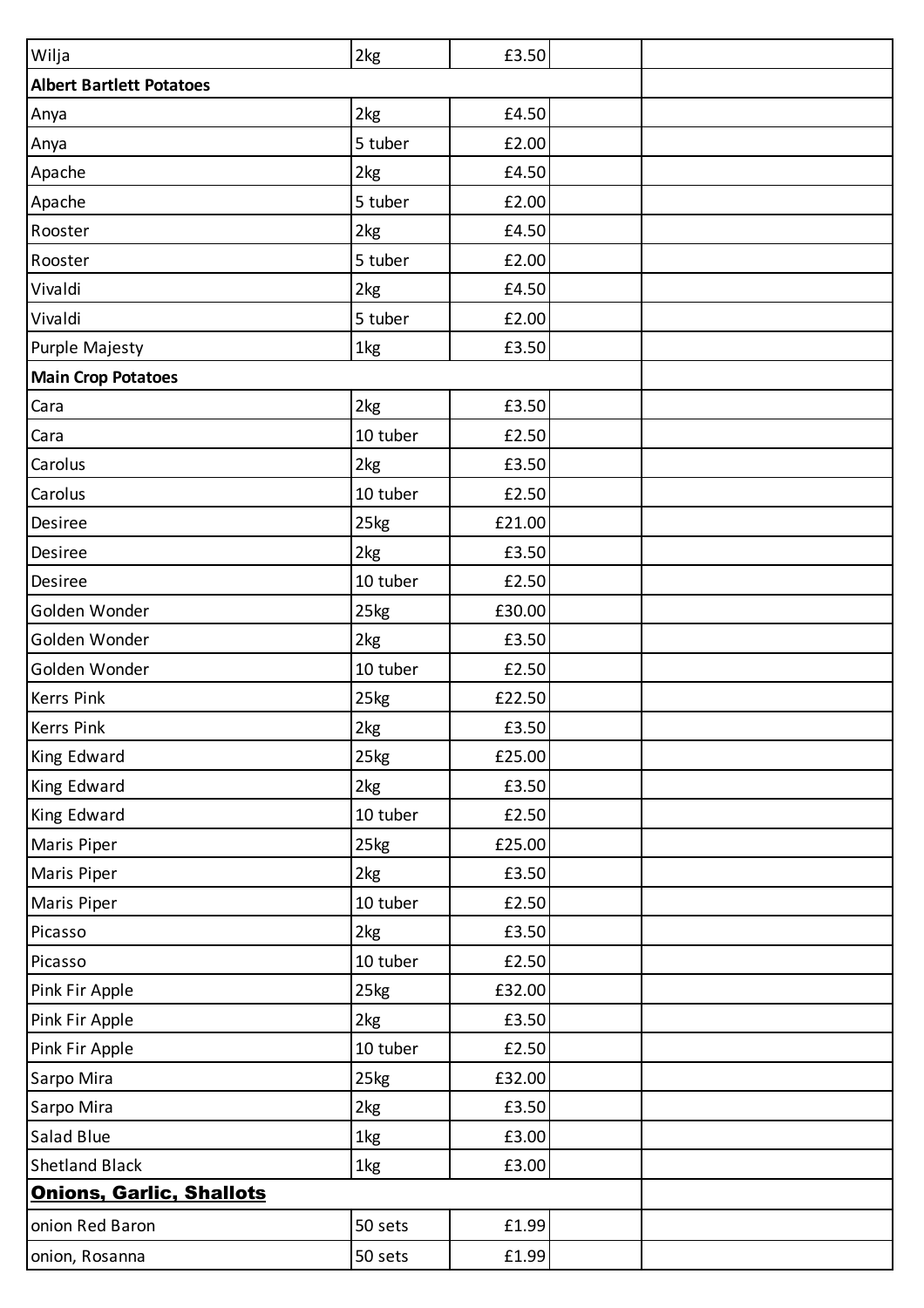| Wilja                           | 2kg      | £3.50  |  |
|---------------------------------|----------|--------|--|
| <b>Albert Bartlett Potatoes</b> |          |        |  |
| Anya                            | 2kg      | £4.50  |  |
| Anya                            | 5 tuber  | £2.00  |  |
| Apache                          | 2kg      | £4.50  |  |
| Apache                          | 5 tuber  | £2.00  |  |
| Rooster                         | 2kg      | £4.50  |  |
| Rooster                         | 5 tuber  | £2.00  |  |
| Vivaldi                         | 2kg      | £4.50  |  |
| Vivaldi                         | 5 tuber  | £2.00  |  |
| Purple Majesty                  | 1kg      | £3.50  |  |
| <b>Main Crop Potatoes</b>       |          |        |  |
| Cara                            | 2kg      | £3.50  |  |
| Cara                            | 10 tuber | £2.50  |  |
| Carolus                         | 2kg      | £3.50  |  |
| Carolus                         | 10 tuber | £2.50  |  |
| Desiree                         | 25kg     | £21.00 |  |
| Desiree                         | 2kg      | £3.50  |  |
| Desiree                         | 10 tuber | £2.50  |  |
| Golden Wonder                   | 25kg     | £30.00 |  |
| Golden Wonder                   | 2kg      | £3.50  |  |
| Golden Wonder                   | 10 tuber | £2.50  |  |
| <b>Kerrs Pink</b>               | 25kg     | £22.50 |  |
| <b>Kerrs Pink</b>               | 2kg      | £3.50  |  |
| King Edward                     | 25kg     | £25.00 |  |
| King Edward                     | 2kg      | £3.50  |  |
| King Edward                     | 10 tuber | £2.50  |  |
| Maris Piper                     | 25kg     | £25.00 |  |
| <b>Maris Piper</b>              | 2kg      | £3.50  |  |
| <b>Maris Piper</b>              | 10 tuber | £2.50  |  |
| Picasso                         | 2kg      | £3.50  |  |
| Picasso                         | 10 tuber | £2.50  |  |
| Pink Fir Apple                  | 25kg     | £32.00 |  |
| Pink Fir Apple                  | 2kg      | £3.50  |  |
| Pink Fir Apple                  | 10 tuber | £2.50  |  |
| Sarpo Mira                      | 25kg     | £32.00 |  |
| Sarpo Mira                      | 2kg      | £3.50  |  |
| Salad Blue                      | 1kg      | £3.00  |  |
| <b>Shetland Black</b>           | 1kg      | £3.00  |  |
| <b>Onions, Garlic, Shallots</b> |          |        |  |
| onion Red Baron                 | 50 sets  | £1.99  |  |
| onion, Rosanna                  | 50 sets  | £1.99  |  |